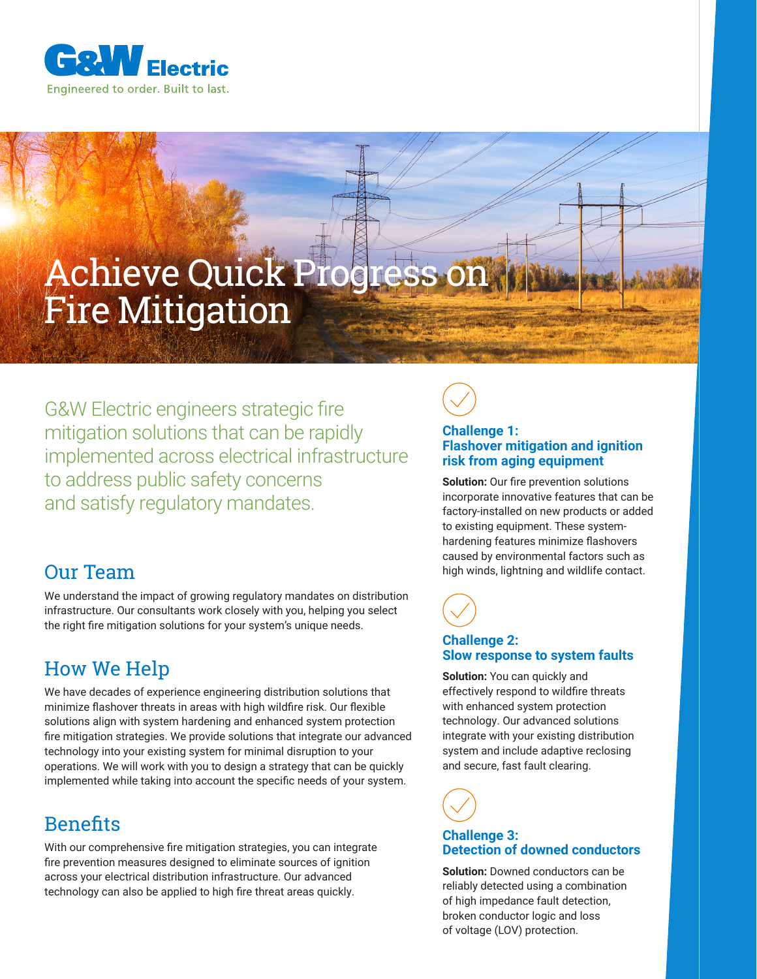

# Achieve Quick Progress on Fire Mitigation

G&W Electric engineers strategic fire mitigation solutions that can be rapidly implemented across electrical infrastructure to address public safety concerns and satisfy regulatory mandates.

# Our Team

We understand the impact of growing regulatory mandates on distribution infrastructure. Our consultants work closely with you, helping you select the right fire mitigation solutions for your system's unique needs.

# How We Help

We have decades of experience engineering distribution solutions that minimize flashover threats in areas with high wildfire risk. Our flexible solutions align with system hardening and enhanced system protection fire mitigation strategies. We provide solutions that integrate our advanced technology into your existing system for minimal disruption to your operations. We will work with you to design a strategy that can be quickly implemented while taking into account the specific needs of your system.

# **Benefits**

With our comprehensive fire mitigation strategies, you can integrate fire prevention measures designed to eliminate sources of ignition across your electrical distribution infrastructure. Our advanced technology can also be applied to high fire threat areas quickly.



#### **Challenge 1: Flashover mitigation and ignition risk from aging equipment**

**Solution:** Our fire prevention solutions incorporate innovative features that can be factory-installed on new products or added to existing equipment. These systemhardening features minimize flashovers caused by environmental factors such as high winds, lightning and wildlife contact.



#### **Challenge 2: Slow response to system faults**

**Solution:** You can quickly and effectively respond to wildfire threats with enhanced system protection technology. Our advanced solutions integrate with your existing distribution system and include adaptive reclosing and secure, fast fault clearing.



#### **Challenge 3: Detection of downed conductors**

**Solution:** Downed conductors can be reliably detected using a combination of high impedance fault detection, broken conductor logic and loss of voltage (LOV) protection.